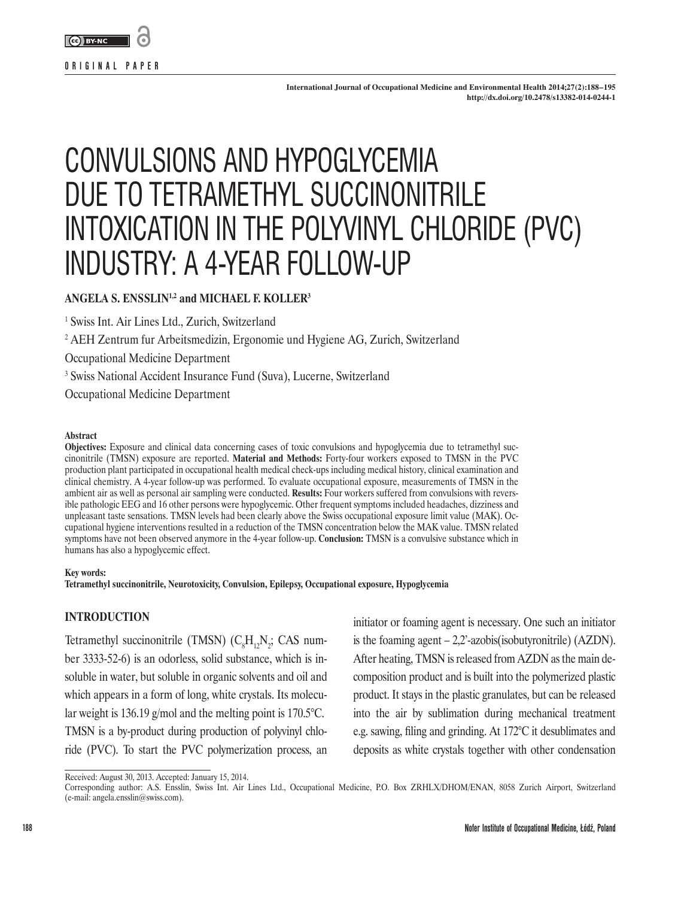

**International Journal of Occupational Medicine and Environmental Health 2014;27(2):188–195 http://dx.doi.org/10.2478/s13382-014-0244-1**

# CONVULSIONS AND HYPOGLYCEMIA DUE TO TETRAMETHYL SUCCINONITRILE INTOXICATION IN THE POLYVINYL CHLORIDE (PVC) INDUSTRY: A 4-YEAR FOLLOW-UP

# **ANGELA S. ENSSLIN1,2 and MICHAEL F. KOLLER3**

1 Swiss Int. Air Lines Ltd., Zurich, Switzerland

2 AEH Zentrum fur Arbeitsmedizin, Ergonomie und Hygiene AG, Zurich, Switzerland

Occupational Medicine Department

<sup>3</sup> Swiss National Accident Insurance Fund (Suva), Lucerne, Switzerland

Occupational Medicine Department

#### **Abstract**

**Objectives:** Exposure and clinical data concerning cases of toxic convulsions and hypoglycemia due to tetramethyl succinonitrile (TMSN) exposure are reported. **Material and Methods:** Forty-four workers exposed to TMSN in the PVC production plant participated in occupational health medical check-ups including medical history, clinical examination and clinical chemistry. A 4-year follow-up was performed. To evaluate occupational exposure, measurements of TMSN in the ambient air as well as personal air sampling were conducted. **Results:** Four workers suffered from convulsions with reversible pathologic EEG and 16 other persons were hypoglycemic. Other frequent symptoms included headaches, dizziness and unpleasant taste sensations. TMSN levels had been clearly above the Swiss occupational exposure limit value (MAK). Occupational hygiene interventions resulted in a reduction of the TMSN concentration below the MAK value. TMSN related symptoms have not been observed anymore in the 4-year follow-up. **Conclusion:** TMSN is a convulsive substance which in humans has also a hypoglycemic effect.

#### **Key words:**

**Tetramethyl succinonitrile, Neurotoxicity, Convulsion, Epilepsy, Occupational exposure, Hypoglycemia**

## **INTRODUCTION**

Tetramethyl succinonitrile (TMSN)  $(C_8H_{12}N_2; CAS$  number 3333-52-6) is an odorless, solid substance, which is insoluble in water, but soluble in organic solvents and oil and which appears in a form of long, white crystals. Its molecular weight is 136.19 g/mol and the melting point is 170.5°C. TMSN is a by-product during production of polyvinyl chloride (PVC). To start the PVC polymerization process, an

initiator or foaming agent is necessary. One such an initiator is the foaming agent  $-2,2$ <sup>-</sup>-azobis(isobutyronitrile) (AZDN). After heating, TMSN is released from AZDN as the main decomposition product and is built into the polymerized plastic product. It stays in the plastic granulates, but can be released into the air by sublimation during mechanical treatment e.g. sawing, filing and grinding. At 172°C it desublimates and deposits as white crystals together with other condensation

Received: August 30, 2013. Accepted: January 15, 2014.

Corresponding author: A.S. Ensslin, Swiss Int. Air Lines Ltd., Occupational Medicine, P.O. Box ZRHLX/DHOM/ENAN, 8058 Zurich Airport, Switzerland (e-mail: [angela.ensslin@swiss.com](mailto:angela.ensslin@swiss.com)).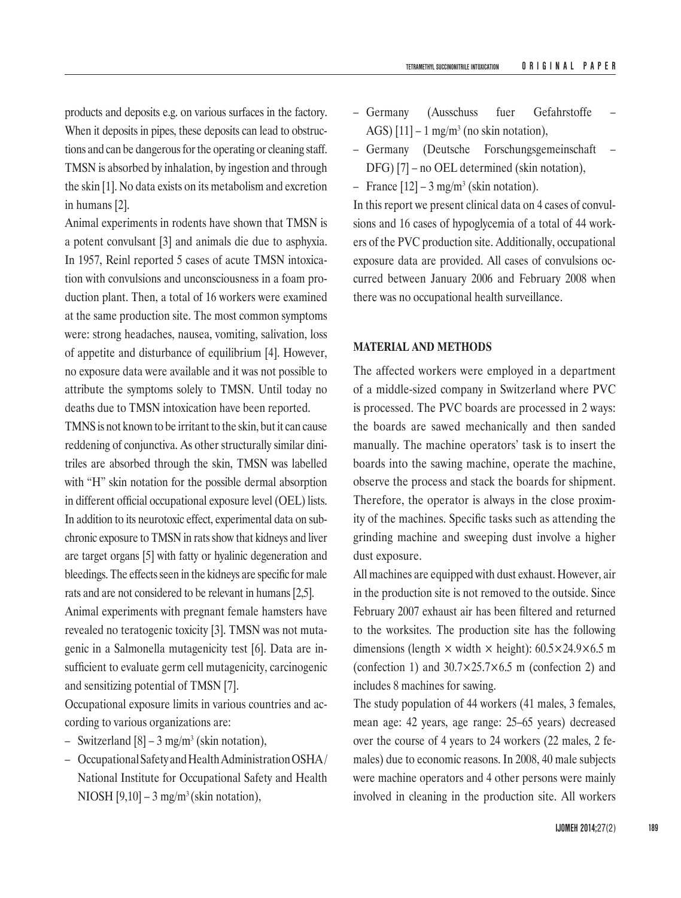products and deposits e.g. on various surfaces in the factory. When it deposits in pipes, these deposits can lead to obstructions and can be dangerous for the operating or cleaning staff. TMSN is absorbed by inhalation, by ingestion and through the skin [1]. No data exists on its metabolism and excretion in humans [2].

Animal experiments in rodents have shown that TMSN is a potent convulsant [3] and animals die due to asphyxia. In 1957, Reinl reported 5 cases of acute TMSN intoxication with convulsions and unconsciousness in a foam production plant. Then, a total of 16 workers were examined at the same production site. The most common symptoms were: strong headaches, nausea, vomiting, salivation, loss of appetite and disturbance of equilibrium [4]. However, no exposure data were available and it was not possible to attribute the symptoms solely to TMSN. Until today no deaths due to TMSN intoxication have been reported.

TMNS is not known to be irritant to the skin, but it can cause reddening of conjunctiva. As other structurally similar dinitriles are absorbed through the skin, TMSN was labelled with "H" skin notation for the possible dermal absorption in different official occupational exposure level (OEL) lists. In addition to its neurotoxic effect, experimental data on subchronic exposure to TMSN in rats show that kidneys and liver are target organs [5] with fatty or hyalinic degeneration and bleedings. The effects seen in the kidneys are specific for male rats and are not considered to be relevant in humans [2,5].

Animal experiments with pregnant female hamsters have revealed no teratogenic toxicity [3]. TMSN was not mutagenic in a Salmonella mutagenicity test [6]. Data are insufficient to evaluate germ cell mutagenicity, carcinogenic and sensitizing potential of TMSN [7].

Occupational exposure limits in various countries and according to various organizations are:

- Switzerland  $[8]$  3 mg/m<sup>3</sup> (skin notation),
- Occupational Safety and Health Administration OSHA/ National Institute for Occupational Safety and Health NIOSH  $[9,10]$  – 3 mg/m<sup>3</sup> (skin notation),
- Germany (Ausschuss fuer Gefahrstoffe AGS)  $[11]$  – 1 mg/m<sup>3</sup> (no skin notation),
- Germany (Deutsche Forschungsgemeinschaft DFG) [7] – no OEL determined (skin notation),
- France  $[12]$  3 mg/m<sup>3</sup> (skin notation).

In this report we present clinical data on 4 cases of convulsions and 16 cases of hypoglycemia of a total of 44 workers of the PVC production site. Additionally, occupational exposure data are provided. All cases of convulsions occurred between January 2006 and February 2008 when there was no occupational health surveillance.

#### **MATERIAL AND METHODS**

The affected workers were employed in a department of a middle-sized company in Switzerland where PVC is processed. The PVC boards are processed in 2 ways: the boards are sawed mechanically and then sanded manually. The machine operators' task is to insert the boards into the sawing machine, operate the machine, observe the process and stack the boards for shipment. Therefore, the operator is always in the close proximity of the machines. Specific tasks such as attending the grinding machine and sweeping dust involve a higher dust exposure.

All machines are equipped with dust exhaust. However, air in the production site is not removed to the outside. Since February 2007 exhaust air has been filtered and returned to the worksites. The production site has the following dimensions (length  $\times$  width  $\times$  height): 60.5 $\times$ 24.9 $\times$ 6.5 m (confection 1) and  $30.7 \times 25.7 \times 6.5$  m (confection 2) and includes 8 machines for sawing.

The study population of 44 workers (41 males, 3 females, mean age: 42 years, age range: 25–65 years) decreased over the course of 4 years to 24 workers (22 males, 2 females) due to economic reasons. In 2008, 40 male subjects were machine operators and 4 other persons were mainly involved in cleaning in the production site. All workers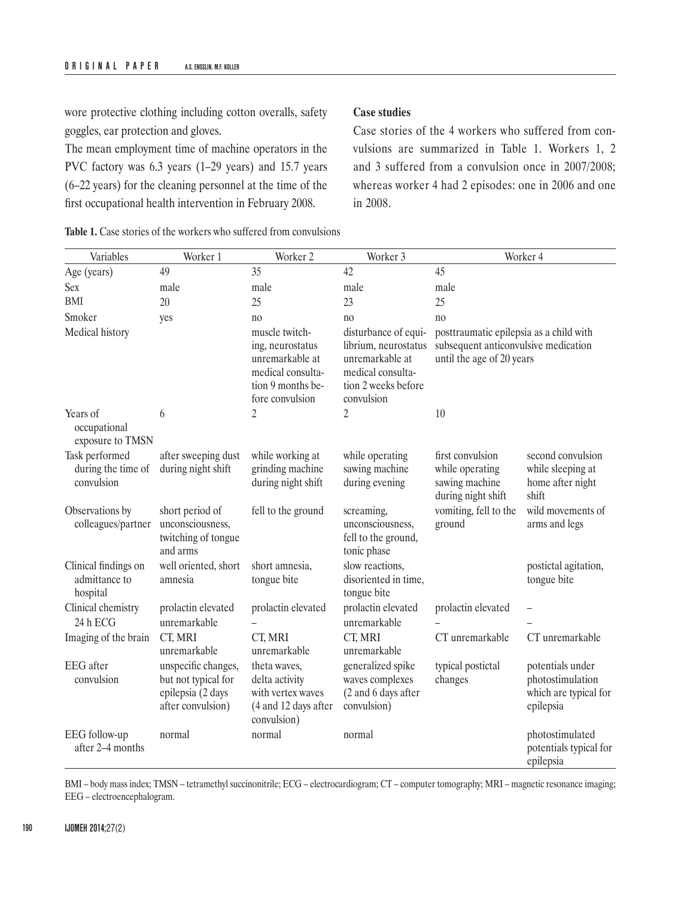wore protective clothing including cotton overalls, safety goggles, ear protection and gloves.

The mean employment time of machine operators in the PVC factory was 6.3 years (1–29 years) and 15.7 years (6–22 years) for the cleaning personnel at the time of the first occupational health intervention in February 2008.

# **Case studies**

Case stories of the 4 workers who suffered from convulsions are summarized in Table 1. Workers 1, 2 and 3 suffered from a convulsion once in 2007/2008; whereas worker 4 had 2 episodes: one in 2006 and one in 2008.

| Variables                                          | Worker 1                                                                             | Worker <sub>2</sub>                                                                                                | Worker 3                                                                                                                  |                                                                                                              | Worker 4                                                                   |
|----------------------------------------------------|--------------------------------------------------------------------------------------|--------------------------------------------------------------------------------------------------------------------|---------------------------------------------------------------------------------------------------------------------------|--------------------------------------------------------------------------------------------------------------|----------------------------------------------------------------------------|
| Age (years)                                        | 49                                                                                   | 35                                                                                                                 | 42                                                                                                                        | 45                                                                                                           |                                                                            |
| Sex                                                | male                                                                                 | male                                                                                                               | male                                                                                                                      | male                                                                                                         |                                                                            |
| BMI                                                | 20                                                                                   | 25                                                                                                                 | 23                                                                                                                        | 25                                                                                                           |                                                                            |
| Smoker                                             | yes                                                                                  | no                                                                                                                 | no                                                                                                                        | no                                                                                                           |                                                                            |
| Medical history                                    |                                                                                      | muscle twitch-<br>ing, neurostatus<br>unremarkable at<br>medical consulta-<br>tion 9 months be-<br>fore convulsion | disturbance of equi-<br>librium, neurostatus<br>unremarkable at<br>medical consulta-<br>tion 2 weeks before<br>convulsion | posttraumatic epilepsia as a child with<br>subsequent anticonvulsive medication<br>until the age of 20 years |                                                                            |
| Years of<br>occupational<br>exposure to TMSN       | 6                                                                                    | 2                                                                                                                  | 2                                                                                                                         | 10                                                                                                           |                                                                            |
| Task performed<br>during the time of<br>convulsion | after sweeping dust<br>during night shift                                            | while working at<br>grinding machine<br>during night shift                                                         | while operating<br>sawing machine<br>during evening                                                                       | first convulsion<br>while operating<br>sawing machine<br>during night shift                                  | second convulsion<br>while sleeping at<br>home after night<br>shift        |
| Observations by<br>colleagues/partner              | short period of<br>unconsciousness,<br>twitching of tongue<br>and arms               | fell to the ground                                                                                                 | screaming,<br>unconsciousness,<br>fell to the ground,<br>tonic phase                                                      | vomiting, fell to the<br>ground                                                                              | wild movements of<br>arms and legs                                         |
| Clinical findings on<br>admittance to<br>hospital  | well oriented, short<br>amnesia                                                      | short amnesia,<br>tongue bite                                                                                      | slow reactions,<br>disoriented in time,<br>tongue bite                                                                    |                                                                                                              | postictal agitation,<br>tongue bite                                        |
| Clinical chemistry<br>24 h ECG                     | prolactin elevated<br>unremarkable                                                   | prolactin elevated                                                                                                 | prolactin elevated<br>unremarkable                                                                                        | prolactin elevated                                                                                           |                                                                            |
| Imaging of the brain                               | CT, MRI<br>unremarkable                                                              | CT, MRI<br>unremarkable                                                                                            | CT, MRI<br>unremarkable                                                                                                   | CT unremarkable                                                                                              | CT unremarkable                                                            |
| <b>EEG</b> after<br>convulsion                     | unspecific changes,<br>but not typical for<br>epilepsia (2 days<br>after convulsion) | theta waves,<br>delta activity<br>with vertex waves<br>(4 and 12 days after<br>convulsion)                         | generalized spike<br>waves complexes<br>(2 and 6 days after<br>convulsion)                                                | typical postictal<br>changes                                                                                 | potentials under<br>photostimulation<br>which are typical for<br>epilepsia |
| EEG follow-up<br>after 2-4 months                  | normal                                                                               | normal                                                                                                             | normal                                                                                                                    |                                                                                                              | photostimulated<br>potentials typical for<br>epilepsia                     |

**Table 1.** Case stories of the workers who suffered from convulsions

BMI – body mass index; TMSN – tetramethyl succinonitrile; ECG – electrocardiogram; CT – computer tomography; MRI – magnetic resonance imaging; EEG – electroencephalogram.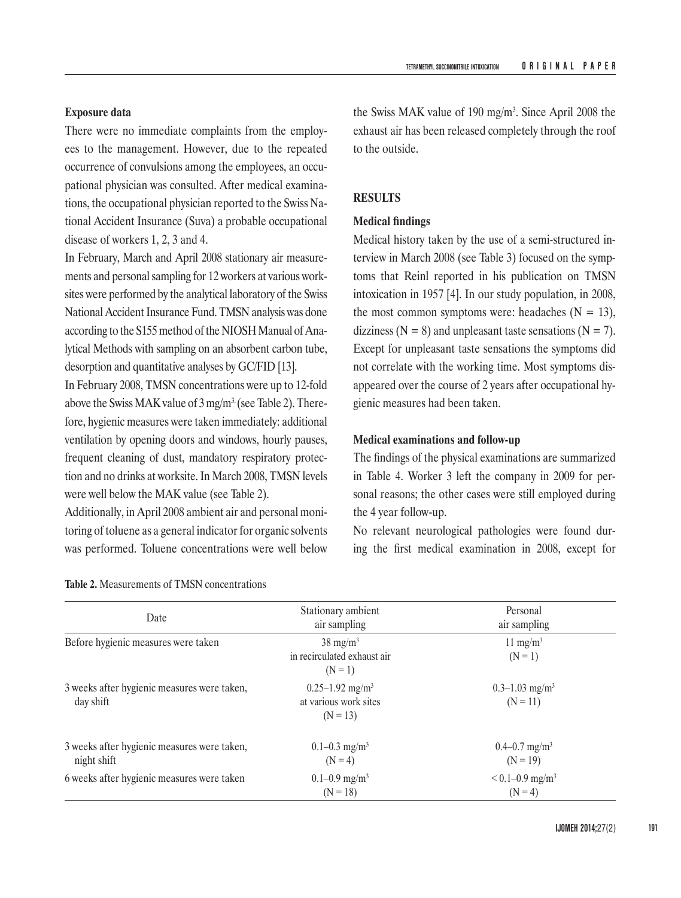# **Exposure data**

There were no immediate complaints from the employees to the management. However, due to the repeated occurrence of convulsions among the employees, an occupational physician was consulted. After medical examinations, the occupational physician reported to the Swiss National Accident Insurance (Suva) a probable occupational disease of workers 1, 2, 3 and 4.

In February, March and April 2008 stationary air measurements and personal sampling for 12 workers at various worksites were performed by the analytical laboratory of the Swiss National Accident Insurance Fund. TMSN analysis was done according to the S155 method of the NIOSH Manual of Analytical Methods with sampling on an absorbent carbon tube, desorption and quantitative analyses by GC/FID [13].

In February 2008, TMSN concentrations were up to 12-fold above the Swiss MAK value of  $3 \text{ mg/m}^3$  (see Table 2). Therefore, hygienic measures were taken immediately: additional ventilation by opening doors and windows, hourly pauses, frequent cleaning of dust, mandatory respiratory protection and no drinks at worksite. In March 2008, TMSN levels were well below the MAK value (see Table 2).

Additionally, in April 2008 ambient air and personal monitoring of toluene as a general indicator for organic solvents was performed. Toluene concentrations were well below

the Swiss MAK value of 190 mg/m<sup>3</sup>. Since April 2008 the exhaust air has been released completely through the roof to the outside.

## **RESULTS**

#### **Medical findings**

Medical history taken by the use of a semi-structured interview in March 2008 (see Table 3) focused on the symptoms that Reinl reported in his publication on TMSN intoxication in 1957 [4]. In our study population, in 2008, the most common symptoms were: headaches  $(N = 13)$ , dizziness ( $N = 8$ ) and unpleasant taste sensations ( $N = 7$ ). Except for unpleasant taste sensations the symptoms did not correlate with the working time. Most symptoms disappeared over the course of 2 years after occupational hygienic measures had been taken.

## **Medical examinations and follow-up**

The findings of the physical examinations are summarized in Table 4. Worker 3 left the company in 2009 for personal reasons; the other cases were still employed during the 4 year follow-up.

No relevant neurological pathologies were found during the first medical examination in 2008, except for

| Date                                                       | Stationary ambient<br>air sampling                                     | Personal<br>air sampling                     |
|------------------------------------------------------------|------------------------------------------------------------------------|----------------------------------------------|
| Before hygienic measures were taken                        | $38 \text{ mg/m}^3$<br>in recirculated exhaust air<br>$(N = 1)$        | 11 mg/m <sup>3</sup><br>$(N = 1)$            |
| 3 weeks after hygienic measures were taken,<br>day shift   | $0.25 - 1.92$ mg/m <sup>3</sup><br>at various work sites<br>$(N = 13)$ | $0.3 - 1.03$ mg/m <sup>3</sup><br>$(N = 11)$ |
| 3 weeks after hygienic measures were taken,<br>night shift | $0.1 - 0.3$ mg/m <sup>3</sup><br>$(N = 4)$                             | $0.4 - 0.7$ mg/m <sup>3</sup><br>$(N = 19)$  |
| 6 weeks after hygienic measures were taken                 | $0.1 - 0.9$ mg/m <sup>3</sup><br>$(N = 18)$                            | $< 0.1 - 0.9$ mg/m <sup>3</sup><br>$(N = 4)$ |

|  |  |  |  | <b>Table 2.</b> Measurements of TMSN concentrations |  |  |  |  |
|--|--|--|--|-----------------------------------------------------|--|--|--|--|
|--|--|--|--|-----------------------------------------------------|--|--|--|--|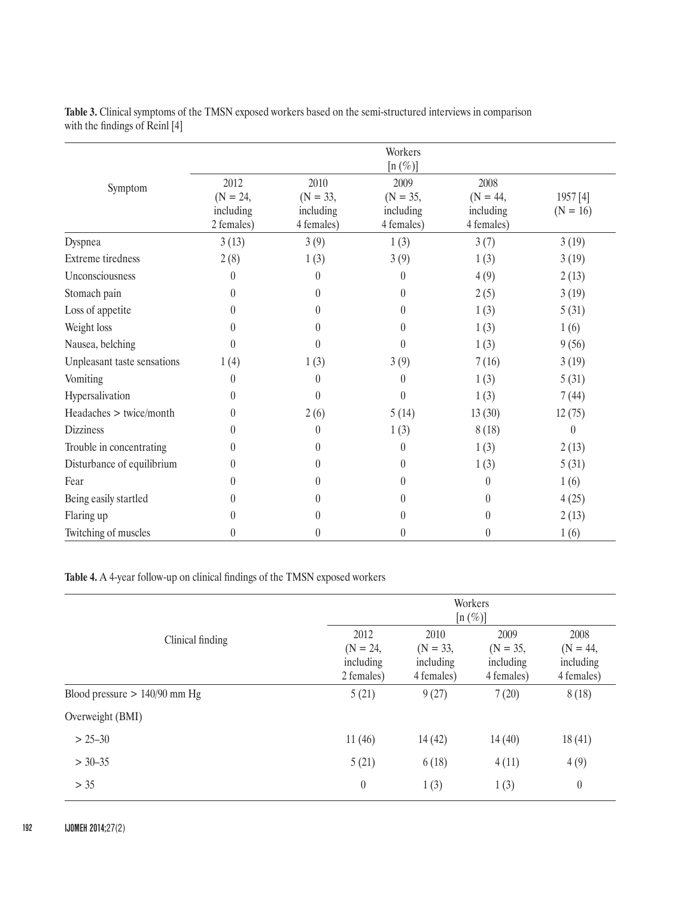|                             |                                               |                                               | Workers                                                     |                                               |                        |
|-----------------------------|-----------------------------------------------|-----------------------------------------------|-------------------------------------------------------------|-----------------------------------------------|------------------------|
| Symptom                     | 2012<br>$(N = 24,$<br>including<br>2 females) | 2010<br>$(N = 33,$<br>including<br>4 females) | $[n (\%)]$<br>2009<br>$(N = 35,$<br>including<br>4 females) | 2008<br>$(N = 44,$<br>including<br>4 females) | 1957 [4]<br>$(N = 16)$ |
| Dyspnea                     | 3(13)                                         | 3(9)                                          | 1(3)                                                        | 3(7)                                          | 3(19)                  |
| Extreme tiredness           | 2(8)                                          | 1(3)                                          | 3(9)                                                        | 1(3)                                          | 3(19)                  |
| Unconsciousness             | 0                                             | 0                                             | $\left( \right)$                                            | 4(9)                                          | 2(13)                  |
| Stomach pain                | 0                                             | $\theta$                                      | $\theta$                                                    | 2(5)                                          | 3(19)                  |
| Loss of appetite            | 0                                             | $\boldsymbol{0}$                              | 0                                                           | 1(3)                                          | 5(31)                  |
| Weight loss                 | 0                                             | $\boldsymbol{0}$                              | 0                                                           | 1(3)                                          | 1(6)                   |
| Nausea, belching            | 0                                             | $\theta$                                      | $\left( \right)$                                            | 1(3)                                          | 9(56)                  |
| Unpleasant taste sensations | 1(4)                                          | 1(3)                                          | 3(9)                                                        | 7(16)                                         | 3(19)                  |
| Vomiting                    | 0                                             | $\theta$                                      | $\left( \right)$                                            | 1(3)                                          | 5(31)                  |
| Hypersalivation             | 0                                             | $\theta$                                      | 0                                                           | 1(3)                                          | 7(44)                  |
| Headaches > twice/month     | $\theta$                                      | 2(6)                                          | 5(14)                                                       | 13(30)                                        | 12(75)                 |
| <b>Dizziness</b>            | 0                                             | $\boldsymbol{0}$                              | 1(3)                                                        | 8(18)                                         | $\theta$               |
| Trouble in concentrating    | $\mathbf{0}$                                  | $\theta$                                      | $\theta$                                                    | 1(3)                                          | 2(13)                  |
| Disturbance of equilibrium  | 0                                             | $\theta$                                      | $\mathbf{0}$                                                | 1(3)                                          | 5(31)                  |
| Fear                        | 0                                             | 0                                             | 0                                                           | $\theta$                                      | 1(6)                   |
| Being easily startled       | 0                                             | $\theta$                                      | 0                                                           | $\Omega$                                      | 4(25)                  |
| Flaring up                  | 0                                             | $\theta$                                      | 0                                                           | $\theta$                                      | 2(13)                  |
| Twitching of muscles        | 0                                             | $\boldsymbol{0}$                              | 0                                                           | $\theta$                                      | 1(6)                   |

**Table 3.** Clinical symptoms of the TMSN exposed workers based on the semi-structured interviews in comparison with the findings of Reinl [4]

**Table 4.** A 4-year follow-up on clinical findings of the TMSN exposed workers

|                                 |                                               | Workers<br>$[n (\%)]$                         |                                               |                                               |  |  |
|---------------------------------|-----------------------------------------------|-----------------------------------------------|-----------------------------------------------|-----------------------------------------------|--|--|
| Clinical finding                | 2012<br>$(N = 24,$<br>including<br>2 females) | 2010<br>$(N = 33,$<br>including<br>4 females) | 2009<br>$(N = 35,$<br>including<br>4 females) | 2008<br>$(N = 44,$<br>including<br>4 females) |  |  |
| Blood pressure $> 140/90$ mm Hg | 5(21)                                         | 9(27)                                         | 7(20)                                         | 8(18)                                         |  |  |
| Overweight (BMI)                |                                               |                                               |                                               |                                               |  |  |
| $> 25 - 30$                     | 11(46)                                        | 14(42)                                        | 14(40)                                        | 18(41)                                        |  |  |
| $> 30 - 35$                     | 5(21)                                         | 6(18)                                         | 4(11)                                         | 4(9)                                          |  |  |
| > 35                            | $\boldsymbol{0}$                              | 1(3)                                          | 1(3)                                          | $\boldsymbol{0}$                              |  |  |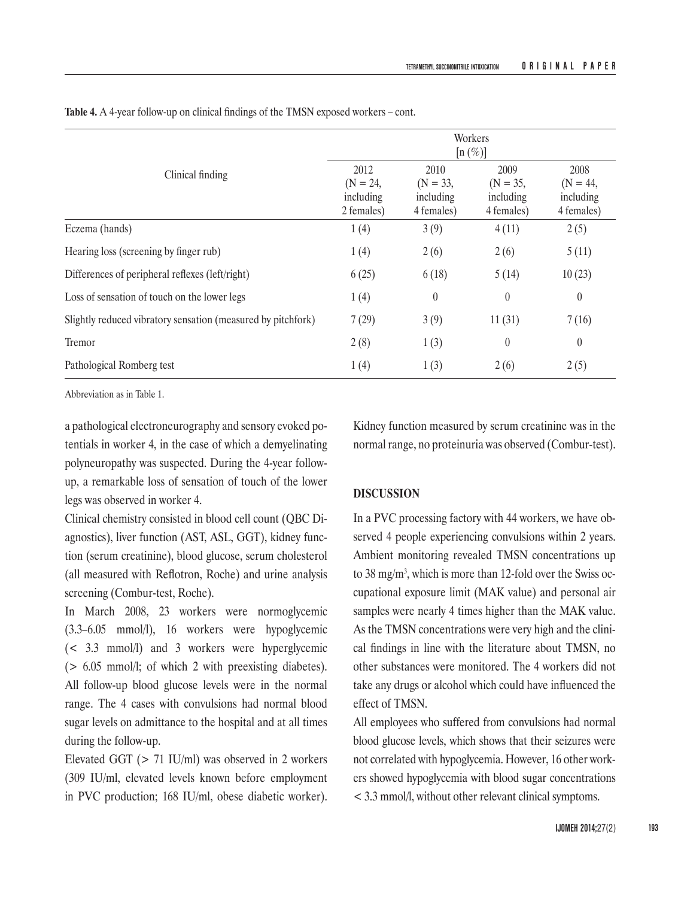|                                                              | Workers<br>$[n (\%)]$                         |                                               |                                               |                                               |  |
|--------------------------------------------------------------|-----------------------------------------------|-----------------------------------------------|-----------------------------------------------|-----------------------------------------------|--|
| Clinical finding                                             | 2012<br>$(N = 24,$<br>including<br>2 females) | 2010<br>$(N = 33,$<br>including<br>4 females) | 2009<br>$(N = 35,$<br>including<br>4 females) | 2008<br>$(N = 44,$<br>including<br>4 females) |  |
| Eczema (hands)                                               | 1(4)                                          | 3(9)                                          | 4(11)                                         | 2(5)                                          |  |
| Hearing loss (screening by finger rub)                       | 1(4)                                          | 2(6)                                          | 2(6)                                          | 5(11)                                         |  |
| Differences of peripheral reflexes (left/right)              | 6(25)                                         | 6(18)                                         | 5(14)                                         | 10(23)                                        |  |
| Loss of sensation of touch on the lower legs                 | 1(4)                                          | $\boldsymbol{0}$                              | $\theta$                                      | $\boldsymbol{0}$                              |  |
| Slightly reduced vibratory sensation (measured by pitchfork) | 7(29)                                         | 3(9)                                          | 11(31)                                        | 7(16)                                         |  |
| Tremor                                                       | 2(8)                                          | 1(3)                                          | $\theta$                                      | $\theta$                                      |  |
| Pathological Romberg test                                    | 1(4)                                          | 1(3)                                          | 2(6)                                          | 2(5)                                          |  |

**Table 4.** A 4-year follow-up on clinical findings of the TMSN exposed workers – cont.

Abbreviation as in Table 1.

a pathological electroneurography and sensory evoked potentials in worker 4, in the case of which a demyelinating polyneuropathy was suspected. During the 4-year followup, a remarkable loss of sensation of touch of the lower legs was observed in worker 4.

Clinical chemistry consisted in blood cell count (QBC Diagnostics), liver function (AST, ASL, GGT), kidney function (serum creatinine), blood glucose, serum cholesterol (all measured with Reflotron, Roche) and urine analysis screening (Combur-test, Roche).

In March 2008, 23 workers were normoglycemic (3.3–6.05 mmol/l), 16 workers were hypoglycemic (< 3.3 mmol/l) and 3 workers were hyperglycemic (> 6.05 mmol/l; of which 2 with preexisting diabetes). All follow-up blood glucose levels were in the normal range. The 4 cases with convulsions had normal blood sugar levels on admittance to the hospital and at all times during the follow-up.

Elevated GGT (> 71 IU/ml) was observed in 2 workers (309 IU/ml, elevated levels known before employment in PVC production; 168 IU/ml, obese diabetic worker).

Kidney function measured by serum creatinine was in the normal range, no proteinuria was observed (Combur-test).

## **DISCUSSION**

In a PVC processing factory with 44 workers, we have observed 4 people experiencing convulsions within 2 years. Ambient monitoring revealed TMSN concentrations up to 38 mg/m3 , which is more than 12-fold over the Swiss occupational exposure limit (MAK value) and personal air samples were nearly 4 times higher than the MAK value. As the TMSN concentrations were very high and the clinical findings in line with the literature about TMSN, no other substances were monitored. The 4 workers did not take any drugs or alcohol which could have influenced the effect of TMSN.

All employees who suffered from convulsions had normal blood glucose levels, which shows that their seizures were not correlated with hypoglycemia. However, 16 other workers showed hypoglycemia with blood sugar concentrations < 3.3 mmol/l, without other relevant clinical symptoms.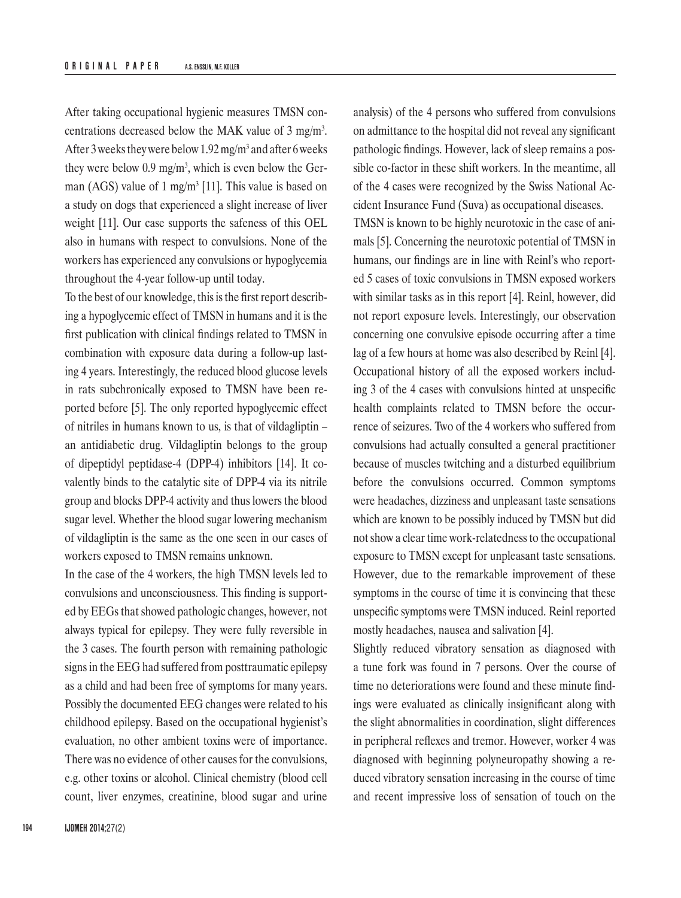After taking occupational hygienic measures TMSN concentrations decreased below the MAK value of 3 mg/m<sup>3</sup>. After 3 weeks they were below 1.92 mg/m<sup>3</sup> and after 6 weeks they were below 0.9 mg/m<sup>3</sup>, which is even below the German (AGS) value of 1 mg/m<sup>3</sup> [11]. This value is based on a study on dogs that experienced a slight increase of liver weight [11]. Our case supports the safeness of this OEL also in humans with respect to convulsions. None of the workers has experienced any convulsions or hypoglycemia throughout the 4-year follow-up until today.

To the best of our knowledge, this is the first report describing a hypoglycemic effect of TMSN in humans and it is the first publication with clinical findings related to TMSN in combination with exposure data during a follow-up lasting 4 years. Interestingly, the reduced blood glucose levels in rats subchronically exposed to TMSN have been reported before [5]. The only reported hypoglycemic effect of nitriles in humans known to us, is that of vildagliptin – an antidiabetic drug. Vildagliptin belongs to the group of dipeptidyl peptidase-4 (DPP-4) inhibitors [14]. It covalently binds to the catalytic site of DPP-4 via its nitrile group and blocks DPP-4 activity and thus lowers the blood sugar level. Whether the blood sugar lowering mechanism of vildagliptin is the same as the one seen in our cases of workers exposed to TMSN remains unknown.

In the case of the 4 workers, the high TMSN levels led to convulsions and unconsciousness. This finding is supported by EEGs that showed pathologic changes, however, not always typical for epilepsy. They were fully reversible in the 3 cases. The fourth person with remaining pathologic signs in the EEG had suffered from posttraumatic epilepsy as a child and had been free of symptoms for many years. Possibly the documented EEG changes were related to his childhood epilepsy. Based on the occupational hygienist's evaluation, no other ambient toxins were of importance. There was no evidence of other causes for the convulsions, e.g. other toxins or alcohol. Clinical chemistry (blood cell count, liver enzymes, creatinine, blood sugar and urine

analysis) of the 4 persons who suffered from convulsions on admittance to the hospital did not reveal any significant pathologic findings. However, lack of sleep remains a possible co-factor in these shift workers. In the meantime, all of the 4 cases were recognized by the Swiss National Accident Insurance Fund (Suva) as occupational diseases. TMSN is known to be highly neurotoxic in the case of animals [5]. Concerning the neurotoxic potential of TMSN in humans, our findings are in line with Reinl's who reported 5 cases of toxic convulsions in TMSN exposed workers with similar tasks as in this report [4]. Reinl, however, did not report exposure levels. Interestingly, our observation concerning one convulsive episode occurring after a time lag of a few hours at home was also described by Reinl [4]. Occupational history of all the exposed workers including 3 of the 4 cases with convulsions hinted at unspecific health complaints related to TMSN before the occurrence of seizures. Two of the 4 workers who suffered from convulsions had actually consulted a general practitioner because of muscles twitching and a disturbed equilibrium before the convulsions occurred. Common symptoms were headaches, dizziness and unpleasant taste sensations which are known to be possibly induced by TMSN but did not show a clear time work-relatedness to the occupational exposure to TMSN except for unpleasant taste sensations. However, due to the remarkable improvement of these symptoms in the course of time it is convincing that these unspecific symptoms were TMSN induced. Reinl reported mostly headaches, nausea and salivation [4].

Slightly reduced vibratory sensation as diagnosed with a tune fork was found in 7 persons. Over the course of time no deteriorations were found and these minute findings were evaluated as clinically insignificant along with the slight abnormalities in coordination, slight differences in peripheral reflexes and tremor. However, worker 4 was diagnosed with beginning polyneuropathy showing a reduced vibratory sensation increasing in the course of time and recent impressive loss of sensation of touch on the